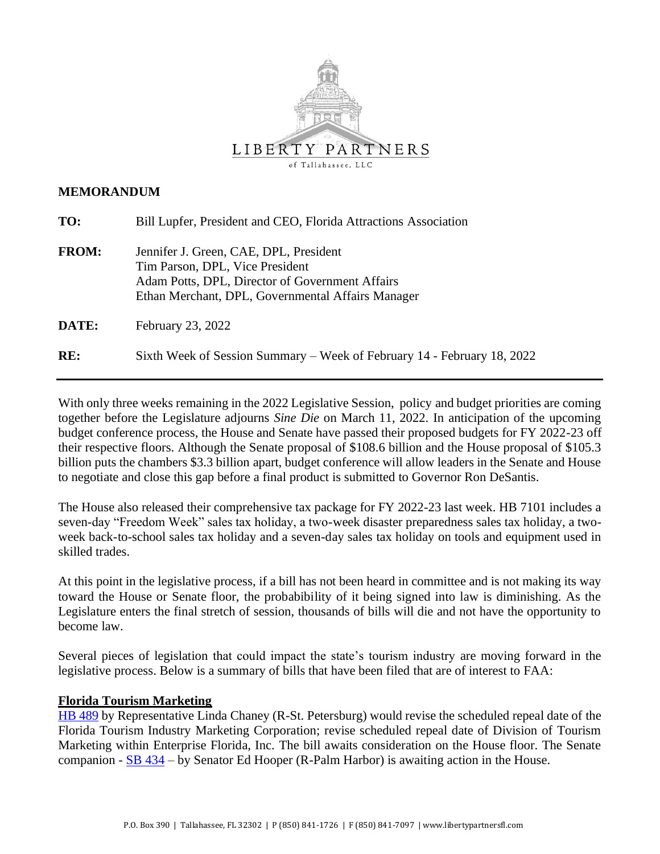

### **MEMORANDUM**

| TO:          | Bill Lupfer, President and CEO, Florida Attractions Association                                                                                                                   |
|--------------|-----------------------------------------------------------------------------------------------------------------------------------------------------------------------------------|
| <b>FROM:</b> | Jennifer J. Green, CAE, DPL, President<br>Tim Parson, DPL, Vice President<br>Adam Potts, DPL, Director of Government Affairs<br>Ethan Merchant, DPL, Governmental Affairs Manager |
| DATE:        | February 23, 2022                                                                                                                                                                 |
| RE:          | Sixth Week of Session Summary – Week of February 14 - February 18, 2022                                                                                                           |

With only three weeks remaining in the 2022 Legislative Session, policy and budget priorities are coming together before the Legislature adjourns *Sine Die* on March 11, 2022. In anticipation of the upcoming budget conference process, the House and Senate have passed their proposed budgets for FY 2022-23 off their respective floors. Although the Senate proposal of \$108.6 billion and the House proposal of \$105.3 billion puts the chambers \$3.3 billion apart, budget conference will allow leaders in the Senate and House to negotiate and close this gap before a final product is submitted to Governor Ron DeSantis.

The House also released their comprehensive tax package for FY 2022-23 last week. HB 7101 includes a seven-day "Freedom Week" sales tax holiday, a two-week disaster preparedness sales tax holiday, a twoweek back-to-school sales tax holiday and a seven-day sales tax holiday on tools and equipment used in skilled trades.

At this point in the legislative process, if a bill has not been heard in committee and is not making its way toward the House or Senate floor, the probabibility of it being signed into law is diminishing. As the Legislature enters the final stretch of session, thousands of bills will die and not have the opportunity to become law.

Several pieces of legislation that could impact the state's tourism industry are moving forward in the legislative process. Below is a summary of bills that have been filed that are of interest to FAA:

# **Florida Tourism Marketing**

[HB 489](https://www.myfloridahouse.gov/Sections/Bills/billsdetail.aspx?BillId=73966&SessionId=93) by Representative Linda Chaney (R-St. Petersburg) would revise the scheduled repeal date of the Florida Tourism Industry Marketing Corporation; revise scheduled repeal date of Division of Tourism Marketing within Enterprise Florida, Inc. The bill awaits consideration on the House floor. The Senate companion - [SB 434](https://www.flsenate.gov/Session/Bill/2022/434) – by Senator Ed Hooper (R-Palm Harbor) is awaiting action in the House.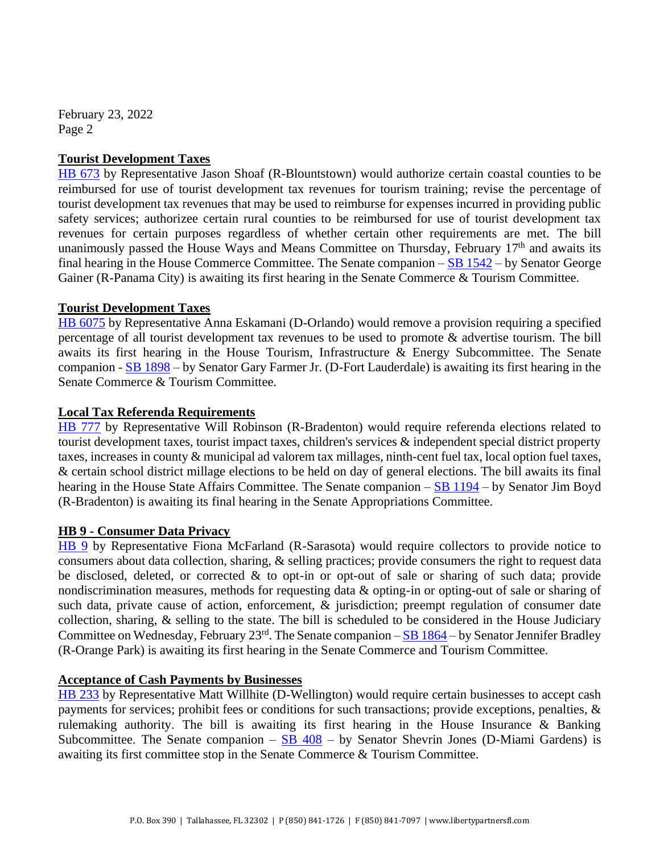February 23, 2022 Page 2

### **Tourist Development Taxes**

[HB 673](https://www.myfloridahouse.gov/Sections/Bills/billsdetail.aspx?BillId=74794&SessionId=93) by Representative Jason Shoaf (R-Blountstown) would authorize certain coastal counties to be reimbursed for use of tourist development tax revenues for tourism training; revise the percentage of tourist development tax revenues that may be used to reimburse for expenses incurred in providing public safety services; authorizee certain rural counties to be reimbursed for use of tourist development tax revenues for certain purposes regardless of whether certain other requirements are met. The bill unanimously passed the House Ways and Means Committee on Thursday, February  $17<sup>th</sup>$  and awaits its final hearing in the House Commerce Committee. The Senate companion – [SB 1542](https://www.flsenate.gov/Session/Bill/2022/1542) – by Senator George Gainer (R-Panama City) is awaiting its first hearing in the Senate Commerce & Tourism Committee.

#### **Tourist Development Taxes**

[HB 6075](https://www.myfloridahouse.gov/Sections/Bills/billsdetail.aspx?BillId=73902&SessionId=93) by Representative Anna Eskamani (D-Orlando) would remove a provision requiring a specified percentage of all tourist development tax revenues to be used to promote & advertise tourism. The bill awaits its first hearing in the House Tourism, Infrastructure & Energy Subcommittee. The Senate companion - [SB 1898](https://www.flsenate.gov/Session/Bill/2022/1898) – by Senator Gary Farmer Jr. (D-Fort Lauderdale) is awaiting its first hearing in the Senate Commerce & Tourism Committee.

#### **Local Tax Referenda Requirements**

[HB 777](https://www.myfloridahouse.gov/Sections/Bills/billsdetail.aspx?BillId=75205&SessionId=93) by Representative Will Robinson (R-Bradenton) would require referenda elections related to tourist development taxes, tourist impact taxes, children's services & independent special district property taxes, increases in county & municipal ad valorem tax millages, ninth-cent fuel tax, local option fuel taxes, & certain school district millage elections to be held on day of general elections. The bill awaits its final hearing in the House State Affairs Committee. The Senate companion – [SB 1194](https://www.flsenate.gov/Session/Bill/2022/1194) – by Senator Jim Boyd (R-Bradenton) is awaiting its final hearing in the Senate Appropriations Committee.

# **HB 9 - Consumer Data Privacy**

[HB 9](https://www.myfloridahouse.gov/Sections/Bills/billsdetail.aspx?BillId=76556&SessionId=93) by Representative Fiona McFarland (R-Sarasota) would require collectors to provide notice to consumers about data collection, sharing, & selling practices; provide consumers the right to request data be disclosed, deleted, or corrected & to opt-in or opt-out of sale or sharing of such data; provide nondiscrimination measures, methods for requesting data & opting-in or opting-out of sale or sharing of such data, private cause of action, enforcement, & jurisdiction; preempt regulation of consumer date collection, sharing, & selling to the state. The bill is scheduled to be considered in the House Judiciary Committee on Wednesday, February 23<sup>rd</sup>. The Senate companion – **[SB 1864](https://www.flsenate.gov/Session/Bill/2022/1864)** – by Senator Jennifer Bradley (R-Orange Park) is awaiting its first hearing in the Senate Commerce and Tourism Committee.

# **Acceptance of Cash Payments by Businesses**

[HB 233](https://www.myfloridahouse.gov/Sections/Bills/billsdetail.aspx?BillId=73352&SessionId=93) by Representative Matt Willhite (D-Wellington) would require certain businesses to accept cash payments for services; prohibit fees or conditions for such transactions; provide exceptions, penalties, & rulemaking authority. The bill is awaiting its first hearing in the House Insurance & Banking Subcommittee. The Senate companion  $-$  [SB 408](https://www.flsenate.gov/Session/Bill/2022/408)  $-$  by Senator Shevrin Jones (D-Miami Gardens) is awaiting its first committee stop in the Senate Commerce & Tourism Committee.